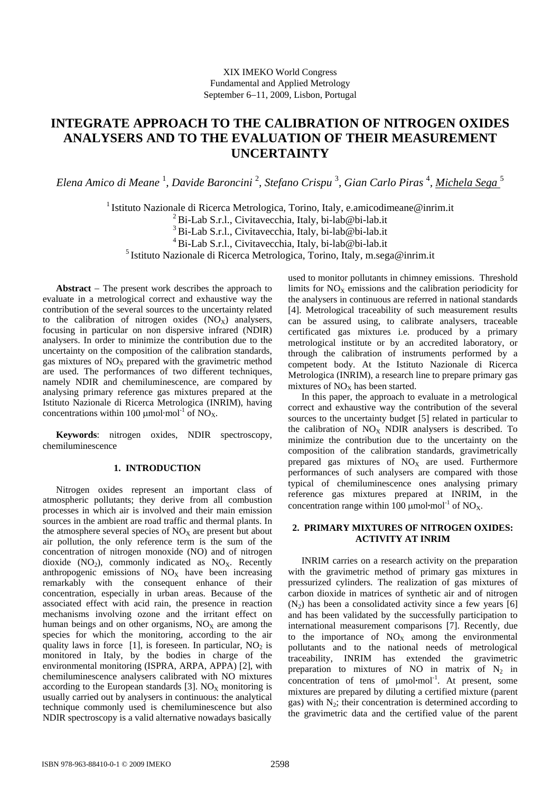# **INTEGRATE APPROACH TO THE CALIBRATION OF NITROGEN OXIDES ANALYSERS AND TO THE EVALUATION OF THEIR MEASUREMENT UNCERTAINTY**

*Elena Amico di Meane* <sup>1</sup> *, Davide Baroncini* <sup>2</sup> *, Stefano Crispu* <sup>3</sup> *, Gian Carlo Piras* <sup>4</sup> *, Michela Sega* <sup>5</sup>

<sup>1</sup> Istituto Nazionale di Ricerca Metrologica, Torino, Italy, e.amicodimeane@inrim.it 2 Bi-Lab S.r.l., Civitavecchia, Italy, bi-lab@bi-lab.it 3 Bi-Lab S.r.l., Civitavecchia, Italy, bi-lab@bi-lab.it 4 Bi-Lab S.r.l., Civitavecchia, Italy, bi-lab@bi-lab.it 5 Istituto Nazionale di Ricerca Metrologica, Torino, Italy, m.sega@inrim.it

**Abstract** − The present work describes the approach to evaluate in a metrological correct and exhaustive way the contribution of the several sources to the uncertainty related to the calibration of nitrogen oxides  $(NO_x)$  analysers, focusing in particular on non dispersive infrared (NDIR) analysers. In order to minimize the contribution due to the uncertainty on the composition of the calibration standards, gas mixtures of  $NO<sub>X</sub>$  prepared with the gravimetric method are used. The performances of two different techniques, namely NDIR and chemiluminescence, are compared by analysing primary reference gas mixtures prepared at the Istituto Nazionale di Ricerca Metrologica (INRIM), having concentrations within 100  $\mu$ mol·mol<sup>-1</sup> of NO<sub>X</sub>.

**Keywords**: nitrogen oxides, NDIR spectroscopy, chemiluminescence

## **1. INTRODUCTION**

Nitrogen oxides represent an important class of atmospheric pollutants; they derive from all combustion processes in which air is involved and their main emission sources in the ambient are road traffic and thermal plants. In the atmosphere several species of  $NO<sub>x</sub>$  are present but about air pollution, the only reference term is the sum of the concentration of nitrogen monoxide (NO) and of nitrogen dioxide  $(NO_2)$ , commonly indicated as  $NO_x$ . Recently anthropogenic emissions of  $NO<sub>x</sub>$  have been increasing remarkably with the consequent enhance of their concentration, especially in urban areas. Because of the associated effect with acid rain, the presence in reaction mechanisms involving ozone and the irritant effect on human beings and on other organisms,  $NO<sub>x</sub>$  are among the species for which the monitoring, according to the air quality laws in force [1], is foreseen. In particular,  $NO<sub>2</sub>$  is monitored in Italy, by the bodies in charge of the environmental monitoring (ISPRA, ARPA, APPA) [2], with chemiluminescence analysers calibrated with NO mixtures according to the European standards [3].  $NO<sub>x</sub>$  monitoring is usually carried out by analysers in continuous: the analytical technique commonly used is chemiluminescence but also NDIR spectroscopy is a valid alternative nowadays basically used to monitor pollutants in chimney emissions. Threshold limits for  $NO<sub>x</sub>$  emissions and the calibration periodicity for the analysers in continuous are referred in national standards [4]. Metrological traceability of such measurement results can be assured using, to calibrate analysers, traceable certificated gas mixtures i.e. produced by a primary metrological institute or by an accredited laboratory, or through the calibration of instruments performed by a competent body. At the Istituto Nazionale di Ricerca Metrologica (INRIM), a research line to prepare primary gas mixtures of  $NO<sub>X</sub>$  has been started.

In this paper, the approach to evaluate in a metrological correct and exhaustive way the contribution of the several sources to the uncertainty budget [5] related in particular to the calibration of  $NO<sub>x</sub>$  NDIR analysers is described. To minimize the contribution due to the uncertainty on the composition of the calibration standards, gravimetrically prepared gas mixtures of  $NO<sub>x</sub>$  are used. Furthermore performances of such analysers are compared with those typical of chemiluminescence ones analysing primary reference gas mixtures prepared at INRIM, in the concentration range within 100  $\mu$ mol·mol<sup>-1</sup> of NO<sub>X</sub>.

## **2. PRIMARY MIXTURES OF NITROGEN OXIDES: ACTIVITY AT INRIM**

INRIM carries on a research activity on the preparation with the gravimetric method of primary gas mixtures in pressurized cylinders. The realization of gas mixtures of carbon dioxide in matrices of synthetic air and of nitrogen  $(N<sub>2</sub>)$  has been a consolidated activity since a few years [6] and has been validated by the successfully participation to international measurement comparisons [7]. Recently, due to the importance of  $NO<sub>x</sub>$  among the environmental pollutants and to the national needs of metrological traceability, INRIM has extended the gravimetric preparation to mixtures of NO in matrix of  $N_2$  in concentration of tens of μmol·mol<sup>-1</sup>. At present, some mixtures are prepared by diluting a certified mixture (parent gas) with  $N_2$ ; their concentration is determined according to the gravimetric data and the certified value of the parent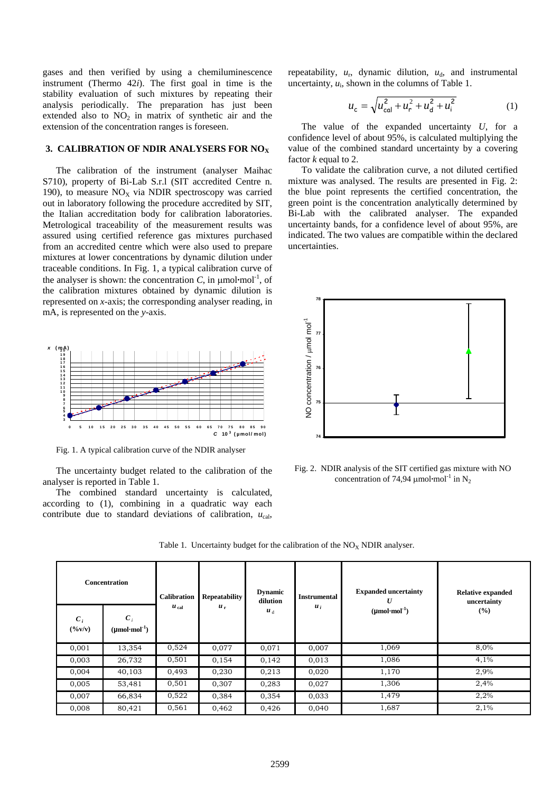gases and then verified by using a chemiluminescence instrument (Thermo 42*i*). The first goal in time is the stability evaluation of such mixtures by repeating their analysis periodically. The preparation has just been extended also to  $NO<sub>2</sub>$  in matrix of synthetic air and the extension of the concentration ranges is foreseen.

## 3. CALIBRATION OF NDIR ANALYSERS FOR NO<sub>X</sub>

The calibration of the instrument (analyser Maihac S710), property of Bi-Lab S.r.l (SIT accredited Centre n. 190), to measure  $NO<sub>x</sub>$  via NDIR spectroscopy was carried out in laboratory following the procedure accredited by SIT, the Italian accreditation body for calibration laboratories. Metrological traceability of the measurement results was assured using certified reference gas mixtures purchased from an accredited centre which were also used to prepare mixtures at lower concentrations by dynamic dilution under traceable conditions. In Fig. 1, a typical calibration curve of the analyser is shown: the concentration  $C$ , in  $\mu$ mol·mol<sup>-1</sup>, of the calibration mixtures obtained by dynamic dilution is represented on *x*-axis; the corresponding analyser reading, in mA, is represented on the *y*-axis.



Fig. 1. A typical calibration curve of the NDIR analyser

The uncertainty budget related to the calibration of the analyser is reported in Table 1.

The combined standard uncertainty is calculated, according to (1), combining in a quadratic way each contribute due to standard deviations of calibration,  $u_{\text{cal}}$ ,

repeatability,  $u_r$ , dynamic dilution,  $u_d$ , and instrumental uncertainty,  $u_i$ , shown in the columns of Table 1.

$$
u_{\rm c} = \sqrt{u_{\rm cal}^2 + u_{\rm r}^2 + u_{\rm d}^2 + u_{\rm i}^2}
$$
 (1)

The value of the expanded uncertainty *U*, for a confidence level of about 95%, is calculated multiplying the value of the combined standard uncertainty by a covering factor *k* equal to 2.

To validate the calibration curve, a not diluted certified mixture was analysed. The results are presented in Fig. 2: the blue point represents the certified concentration, the green point is the concentration analytically determined by Bi-Lab with the calibrated analyser. The expanded uncertainty bands, for a confidence level of about 95%, are indicated. The two values are compatible within the declared uncertainties.



Fig. 2. NDIR analysis of the SIT certified gas mixture with NO concentration of 74,94  $\mu$ mol·mol<sup>-1</sup> in N<sub>2</sub>

| <b>Concentration</b> |                                                  | <b>Calibration</b> | <b>Repeatability</b> | <b>Dynamic</b><br>dilution | <b>Instrumental</b> | <b>Expanded uncertainty</b><br>U | <b>Relative expanded</b><br>uncertainty |
|----------------------|--------------------------------------------------|--------------------|----------------------|----------------------------|---------------------|----------------------------------|-----------------------------------------|
| $C_i$<br>(9/6V/V)    | $\boldsymbol{C}_i$<br>$(\mu mol \cdot mol^{-1})$ | $u_{\text{cal}}$   | $u_r$                | $u_d$                      | $u_i$               | $(\mu mol \cdot mol^{-1})$       | (%)                                     |
| 0,001                | 13,354                                           | 0,524              | 0,077                | 0,071                      | 0,007               | 1,069                            | 8,0%                                    |
| 0,003                | 26,732                                           | 0,501              | 0,154                | 0,142                      | 0,013               | 1,086                            | 4,1%                                    |
| 0,004                | 40,103                                           | 0,493              | 0,230                | 0,213                      | 0,020               | 1,170                            | 2,9%                                    |
| 0,005                | 53,481                                           | 0,501              | 0,307                | 0,283                      | 0,027               | 1,306                            | 2,4%                                    |
| 0,007                | 66,834                                           | 0,522              | 0,384                | 0,354                      | 0,033               | 1,479                            | 2,2%                                    |
| 0,008                | 80,421                                           | 0,561              | 0,462                | 0,426                      | 0,040               | 1,687                            | 2,1%                                    |

Table 1. Uncertainty budget for the calibration of the  $NO<sub>X</sub> NDIR$  analyser.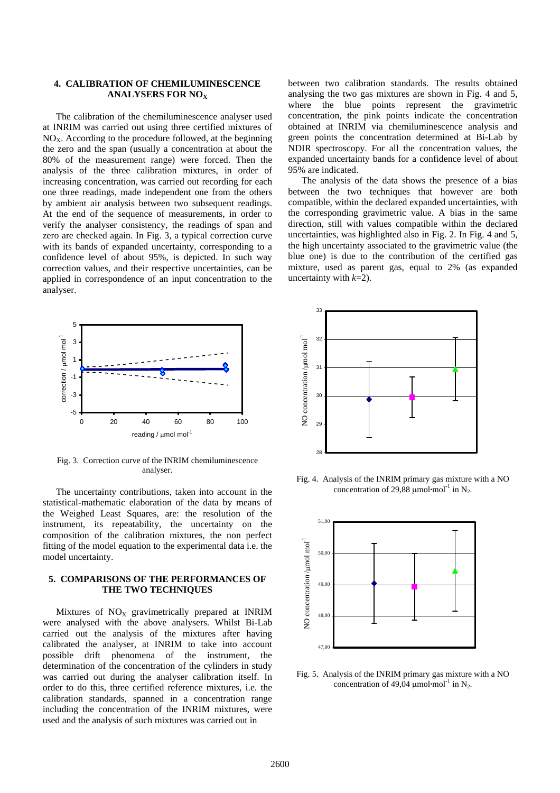### **4. CALIBRATION OF CHEMILUMINESCENCE ANALYSERS FOR NO<sub>x</sub>**

The calibration of the chemiluminescence analyser used at INRIM was carried out using three certified mixtures of  $NO<sub>X</sub>$ . According to the procedure followed, at the beginning the zero and the span (usually a concentration at about the 80% of the measurement range) were forced. Then the analysis of the three calibration mixtures, in order of increasing concentration, was carried out recording for each one three readings, made independent one from the others by ambient air analysis between two subsequent readings. At the end of the sequence of measurements, in order to verify the analyser consistency, the readings of span and zero are checked again. In Fig. 3, a typical correction curve with its bands of expanded uncertainty, corresponding to a confidence level of about 95%, is depicted. In such way correction values, and their respective uncertainties, can be applied in correspondence of an input concentration to the analyser.



Fig. 3. Correction curve of the INRIM chemiluminescence analyser.

The uncertainty contributions, taken into account in the statistical-mathematic elaboration of the data by means of the Weighed Least Squares, are: the resolution of the instrument, its repeatability, the uncertainty on the composition of the calibration mixtures, the non perfect fitting of the model equation to the experimental data i.e. the model uncertainty.

### **5. COMPARISONS OF THE PERFORMANCES OF THE TWO TECHNIQUES**

Mixtures of  $NO<sub>X</sub>$  gravimetrically prepared at INRIM were analysed with the above analysers. Whilst Bi-Lab carried out the analysis of the mixtures after having calibrated the analyser, at INRIM to take into account possible drift phenomena of the instrument, the determination of the concentration of the cylinders in study was carried out during the analyser calibration itself. In order to do this, three certified reference mixtures, i.e. the calibration standards, spanned in a concentration range including the concentration of the INRIM mixtures, were used and the analysis of such mixtures was carried out in

between two calibration standards. The results obtained analysing the two gas mixtures are shown in Fig. 4 and 5, where the blue points represent the gravimetric concentration, the pink points indicate the concentration obtained at INRIM via chemiluminescence analysis and green points the concentration determined at Bi-Lab by NDIR spectroscopy. For all the concentration values, the expanded uncertainty bands for a confidence level of about 95% are indicated.

The analysis of the data shows the presence of a bias between the two techniques that however are both compatible, within the declared expanded uncertainties, with the corresponding gravimetric value. A bias in the same direction, still with values compatible within the declared uncertainties, was highlighted also in Fig. 2. In Fig. 4 and 5, the high uncertainty associated to the gravimetric value (the blue one) is due to the contribution of the certified gas mixture, used as parent gas, equal to 2% (as expanded uncertainty with *k*=2).



Fig. 4. Analysis of the INRIM primary gas mixture with a NO concentration of 29,88  $\mu$ mol·mol<sup>-1</sup> in N<sub>2</sub>.



Fig. 5. Analysis of the INRIM primary gas mixture with a NO concentration of 49,04  $\mu$ mol·mol<sup>-1</sup> in N<sub>2</sub>.